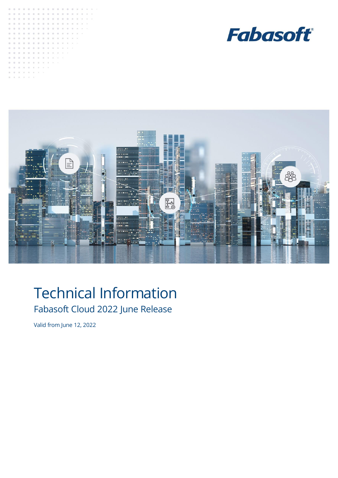





# Technical Information Fabasoft Cloud 2022 June Release

Valid from June 12, 2022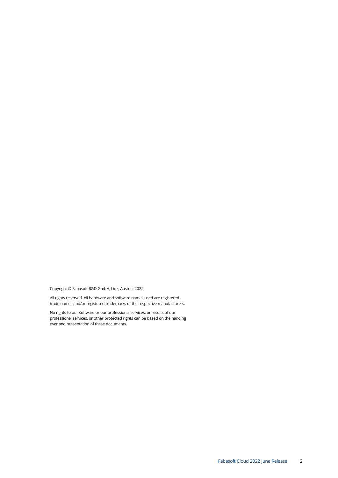Copyright © Fabasoft R&D GmbH, Linz, Austria, 2022.

All rights reserved. All hardware and software names used are registered trade names and/or registered trademarks of the respective manufacturers.

No rights to our software or our professional services, or results of our professional services, or other protected rights can be based on the handing over and presentation of these documents.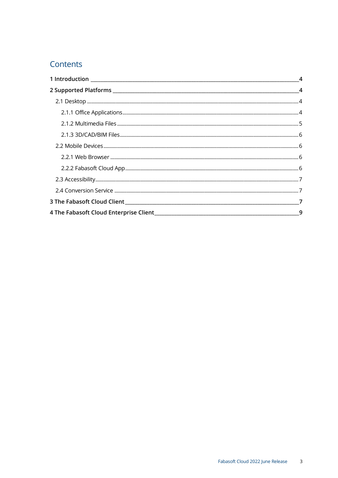# Contents

| $\overline{4}$ |
|----------------|
|                |
|                |
|                |
|                |
|                |
|                |
|                |
|                |
|                |
|                |
|                |
|                |
|                |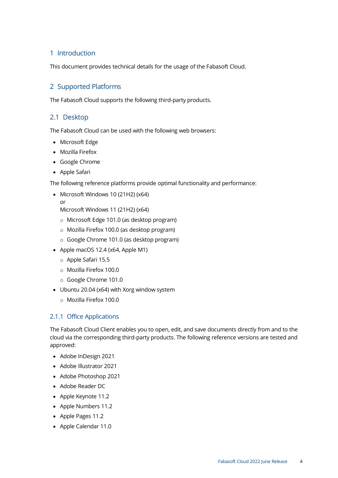# <span id="page-3-0"></span>1 Introduction

This document provides technical details for the usage of the Fabasoft Cloud.

# <span id="page-3-1"></span>2 Supported Platforms

The Fabasoft Cloud supports the following third-party products.

### <span id="page-3-2"></span>2.1 Desktop

The Fabasoft Cloud can be used with the following web browsers:

- Microsoft Edge
- Mozilla Firefox
- Google Chrome
- Apple Safari

The following reference platforms provide optimal functionality and performance:

- Microsoft Windows 10 (21H2) (x64)
- or

Microsoft Windows 11 (21H2) (x64)

- o Microsoft Edge 101.0 (as desktop program)
- o Mozilla Firefox 100.0 (as desktop program)
- o Google Chrome 101.0 (as desktop program)
- Apple macOS 12.4 (x64, Apple M1)
	- o Apple Safari 15.5
	- o Mozilla Firefox 100.0
	- o Google Chrome 101.0
- Ubuntu 20.04 (x64) with Xorg window system
	- o Mozilla Firefox 100.0

### <span id="page-3-3"></span>2.1.1 Office Applications

The Fabasoft Cloud Client enables you to open, edit, and save documents directly from and to the cloud via the corresponding third-party products. The following reference versions are tested and approved:

- Adobe InDesign 2021
- Adobe Illustrator 2021
- Adobe Photoshop 2021
- Adobe Reader DC
- Apple Keynote 11.2
- Apple Numbers 11.2
- Apple Pages 11.2
- Apple Calendar 11.0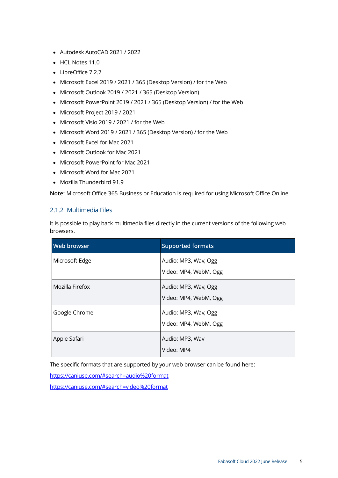- Autodesk AutoCAD 2021 / 2022
- HCL Notes 11.0
- LibreOffice 7.2.7
- Microsoft Excel 2019 / 2021 / 365 (Desktop Version) / for the Web
- Microsoft Outlook 2019 / 2021 / 365 (Desktop Version)
- Microsoft PowerPoint 2019 / 2021 / 365 (Desktop Version) / for the Web
- Microsoft Project 2019 / 2021
- Microsoft Visio 2019 / 2021 / for the Web
- Microsoft Word 2019 / 2021 / 365 (Desktop Version) / for the Web
- Microsoft Excel for Mac 2021
- Microsoft Outlook for Mac 2021
- Microsoft PowerPoint for Mac 2021
- Microsoft Word for Mac 2021
- Mozilla Thunderbird 91.9

**Note:** Microsoft Office 365 Business or Education is required for using Microsoft Office Online.

#### <span id="page-4-0"></span>2.1.2 Multimedia Files

It is possible to play back multimedia files directly in the current versions of the following web browsers.

| <b>Web browser</b> | <b>Supported formats</b>                      |
|--------------------|-----------------------------------------------|
| Microsoft Edge     | Audio: MP3, Wav, Ogg<br>Video: MP4, WebM, Ogg |
| Mozilla Firefox    | Audio: MP3, Wav, Ogg<br>Video: MP4, WebM, Ogg |
| Google Chrome      | Audio: MP3, Wav, Ogg<br>Video: MP4, WebM, Ogg |
| Apple Safari       | Audio: MP3, Wav<br>Video: MP4                 |

The specific formats that are supported by your web browser can be found here:

<https://caniuse.com/#search=audio%20format>

<https://caniuse.com/#search=video%20format>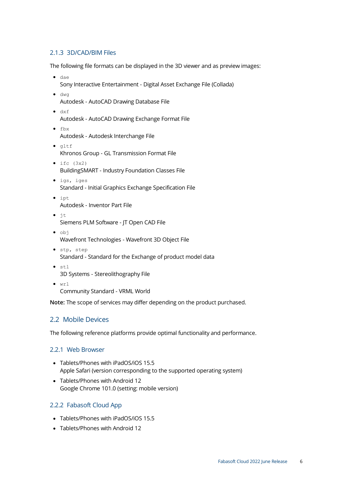#### <span id="page-5-0"></span>2.1.3 3D/CAD/BIM Files

The following file formats can be displayed in the 3D viewer and as preview images:

- dae Sony Interactive Entertainment - Digital Asset Exchange File (Collada)
- dwg Autodesk - AutoCAD Drawing Database File
- dxf
	- Autodesk AutoCAD Drawing Exchange Format File
- fbx Autodesk - Autodesk Interchange File
- gltf Khronos Group - GL Transmission Format File
- $\bullet$  ifc  $(3x2)$ BuildingSMART - Industry Foundation Classes File
- igs, iges Standard - Initial Graphics Exchange Specification File
- ipt Autodesk - Inventor Part File
- jt Siemens PLM Software - JT Open CAD File
- obj Wavefront Technologies - Wavefront 3D Object File
- stp, step Standard - Standard for the Exchange of product model data
- stl 3D Systems - Stereolithography File
- $\bullet$  wrl Community Standard - VRML World

**Note:** The scope of services may differ depending on the product purchased.

### <span id="page-5-1"></span>2.2 Mobile Devices

The following reference platforms provide optimal functionality and performance.

#### <span id="page-5-2"></span>2.2.1 Web Browser

- Tablets/Phones with iPadOS/iOS 15.5 Apple Safari (version corresponding to the supported operating system)
- Tablets/Phones with Android 12 Google Chrome 101.0 (setting: mobile version)

#### <span id="page-5-3"></span>2.2.2 Fabasoft Cloud App

- Tablets/Phones with iPadOS/iOS 15.5
- Tablets/Phones with Android 12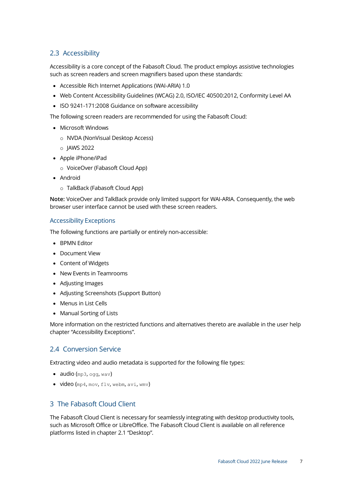# <span id="page-6-0"></span>2.3 Accessibility

Accessibility is a core concept of the Fabasoft Cloud. The product employs assistive technologies such as screen readers and screen magnifiers based upon these standards:

- Accessible Rich Internet Applications (WAI-ARIA) 1.0
- Web Content Accessibility Guidelines (WCAG) 2.0, ISO/IEC 40500:2012, Conformity Level AA
- ISO 9241-171:2008 Guidance on software accessibility

The following screen readers are recommended for using the Fabasoft Cloud:

- Microsoft Windows
	- o NVDA (NonVisual Desktop Access)
	- o JAWS 2022
- Apple iPhone/iPad
	- o VoiceOver (Fabasoft Cloud App)
- Android
	- o TalkBack (Fabasoft Cloud App)

**Note:** VoiceOver and TalkBack provide only limited support for WAI-ARIA. Consequently, the web browser user interface cannot be used with these screen readers.

#### Accessibility Exceptions

The following functions are partially or entirely non-accessible:

- BPMN Editor
- Document View
- Content of Widgets
- New Events in Teamrooms
- Adjusting Images
- Adjusting Screenshots (Support Button)
- Menus in List Cells
- Manual Sorting of Lists

More information on the restricted functions and alternatives thereto are available in the user help chapter "Accessibility Exceptions".

### <span id="page-6-1"></span>2.4 Conversion Service

Extracting video and audio metadata is supported for the following file types:

- audio  $(mp3, oqq, wav)$
- <span id="page-6-2"></span>• video (mp4, mov, flv, webm, avi, wmv)

#### 3 The Fabasoft Cloud Client

The Fabasoft Cloud Client is necessary for seamlessly integrating with desktop productivity tools, such as Microsoft Office or LibreOffice. The Fabasoft Cloud Client is available on all reference platforms listed in chapter [2.1](#page-3-2) "[Desktop](#page-3-2)".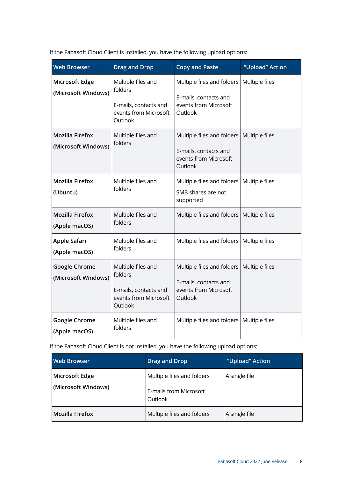If the Fabasoft Cloud Client is installed, you have the following upload options:

| <b>Web Browser</b>                            | <b>Drag and Drop</b>                                                                       | <b>Copy and Paste</b>                                                                   | "Upload" Action |
|-----------------------------------------------|--------------------------------------------------------------------------------------------|-----------------------------------------------------------------------------------------|-----------------|
| Microsoft Edge<br>(Microsoft Windows)         | Multiple files and<br>folders<br>E-mails, contacts and<br>events from Microsoft<br>Outlook | Multiple files and folders<br>E-mails, contacts and<br>events from Microsoft<br>Outlook | Multiple files  |
| <b>Mozilla Firefox</b><br>(Microsoft Windows) | Multiple files and<br>folders                                                              | Multiple files and folders<br>E-mails, contacts and<br>events from Microsoft<br>Outlook | Multiple files  |
| <b>Mozilla Firefox</b><br>(Ubuntu)            | Multiple files and<br>folders                                                              | Multiple files and folders<br>SMB shares are not<br>supported                           | Multiple files  |
| <b>Mozilla Firefox</b><br>(Apple macOS)       | Multiple files and<br>folders                                                              | Multiple files and folders                                                              | Multiple files  |
| Apple Safari<br>(Apple macOS)                 | Multiple files and<br>folders                                                              | Multiple files and folders                                                              | Multiple files  |
| <b>Google Chrome</b><br>(Microsoft Windows)   | Multiple files and<br>folders<br>E-mails, contacts and<br>events from Microsoft<br>Outlook | Multiple files and folders<br>E-mails, contacts and<br>events from Microsoft<br>Outlook | Multiple files  |
| Google Chrome<br>(Apple macOS)                | Multiple files and<br>folders                                                              | Multiple files and folders                                                              | Multiple files  |

If the Fabasoft Cloud Client is not installed, you have the following upload options:

| <b>Web Browser</b>                    | Drag and Drop                                                   | "Upload" Action |
|---------------------------------------|-----------------------------------------------------------------|-----------------|
| Microsoft Edge<br>(Microsoft Windows) | Multiple files and folders<br>E-mails from Microsoft<br>Outlook | A single file   |
| <b>Mozilla Firefox</b>                | Multiple files and folders                                      | A single file   |